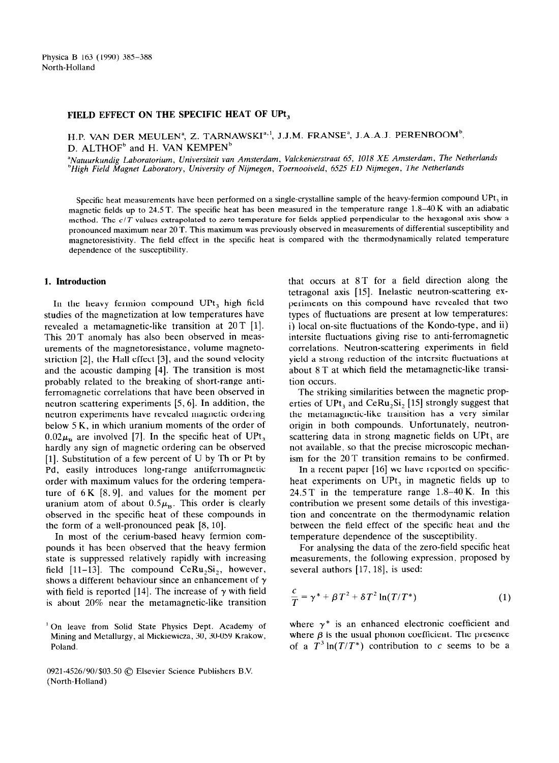### **FIELD EFFECT ON THE SPECIFIC HEAT OF UPt,**

H.P. VAN DER MEULEN<sup>a</sup>, Z. TARNAWSKI<sup>a, I</sup>, J.J.M. FRANSE<sup>a</sup>, J.A.A.J. PERENBOOM<sup>b</sup>. D. ALTHOF<sup>b</sup> and H. VAN KEMPEN<sup>b</sup>

*"Natuurkundig Laboratorium, Universiteit van Amsterdam, Valckenierstraat 65, 1018 XE Amsterdam, The Netherlands 'High Field Magnet Laboratory, University of Nijmegen, Toernooiveld, 6525 ED Nijmegen, The Netherlands* 

Specific heat measurements have been performed on a single-crystalline sample of the heavy-fermion compound UPt, in magnetic fields up to 24.5 T. The specific heat has been measured in the temperature range 1.8-40 K with an adiabatic method. The *c/T* values extrapolated to zero temperature for fields applied perpendicular to the hexagonal axis show a pronounced maximum near 20 T. This maximum was previously observed in measurements of differential susceptibility and magnetoresistivity. The field effect in the specific heat is compared with the thermodynamically related temperature dependence of the susceptibility.

# **1. Introduction**

In the heavy fermion compound UPt, high field studies of the magnetization at low temperatures have revealed a metamagnetic-like transition at 20T [l]. This 20T anomaly has also been observed in measurements of the magnetoresistance, volume magnetostriction [2], the Hall effect [3], and the sound velocity and the acoustic damping [4]. The transition is most probably related to the breaking of short-range antiferromagnetic correlations that have been observed in neutron scattering experiments [5,6]. In addition, the neutron experiments have revealed magnetic ordering below 5 K, in which uranium moments of the order of  $0.02\mu_{\rm p}$  are involved [7]. In the specific heat of UPt, hardly any sign of magnetic ordering can be observed [l]. Substitution of a few percent of U by Th or Pt by Pd, easily introduces long-range antiferromagnetic order with maximum values for the ordering temperature of  $6K [8, 9]$ , and values for the moment per uranium atom of about  $0.5\mu_{\rm B}$ . This order is clearly observed in the specific heat of these compounds in the form of a well-pronounced peak  $[8, 10]$ .

In most of the cerium-based heavy fermion compounds it has been observed that the heavy fermion state is suppressed relatively rapidly with increasing field  $[11-13]$ . The compound CeRu<sub>2</sub>Si<sub>2</sub>, however, shows a different behaviour since an enhancement of  $\gamma$ with field is reported [14]. The increase of  $\gamma$  with field is about 20% near the metamagnetic-like transition

' On leave from Solid State Physics Dept. Academy of Mining and Metallurgy, al Mickiewicza, 30, 30-059 Krakow, Poland.

0921-4526/90/\$03.50 © Elsevier Science Publishers B.V. (North-Holland)

that occurs at ST for a field direction along the tetragonal axis [15]. Inelastic neutron-scattering experiments on this compound have revealed that two types of fluctuations are present at low temperatures: i) local on-site fluctuations of the Kondo-type, and ii) intersite fluctuations giving rise to anti-ferromagnetic correlations. Neutron-scattering experiments in field yield a strong reduction of the intersite fluctuations at about 8 T at which field the metamagnetic-like transition occurs.

The striking similarities between the magnetic properties of UPt, and CeRu,Si, [15] strongly suggest that the metamagnetic-like transition has a very similar origin in both compounds. Unfortunately, neutronscattering data in strong magnetic fields on UPt, are not available, so that the precise microscopic mechanism for the 20T transition remains to be confirmed.

In a recent paper [16] we have reported on specificheat experiments on UPt, in magnetic fields up to 24.5T in the temperature range 1.8-40K. In this contribution we present some details of this investigation and concentrate on the thermodynamic relation between the field effect of the specific heat and the temperature dependence of the susceptibility.

For analysing the data of the zero-field specific heat measurements, the following expression, proposed by several authors  $[17, 18]$ , is used:

$$
\frac{c}{T} = \gamma^* + \beta T^2 + \delta T^2 \ln(T/T^*)
$$
 (1)

where  $\gamma^*$  is an enhanced electronic coefficient and where  $\beta$  is the usual phonon coefficient. The presence of a  $T^3 \ln(T/T^*)$  contribution to c seems to be a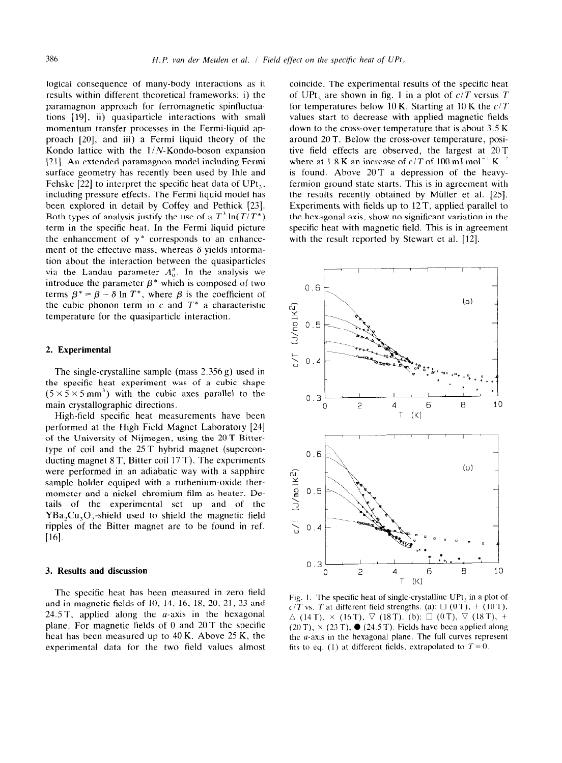logical consequence of many-body interactions as it results within different theoretical frameworks: i) the paramagnon approach for ferromagnetic spinfluctuations [19], ii) quasiparticle interactions with small momentum transfer processes in the Fermi-liquid approach [20], and iii) a Fermi liquid theory of the Kondo lattice with the  $1/N$ -Kondo-boson expansion [21]. An extended paramagnon model including Fermi surface geometry has recently been used by Ihle and Fehske  $[22]$  to interpret the specific heat data of UPt<sub>3</sub>, including pressure effects. The Fermi liquid model has been explored in detail by Coffey and Pethick [23]. Both types of analysis justify the use of a  $T^3 \ln(T/T^*)$ term in the specific heat. In the Fermi liquid picture the enhancement of  $\gamma^*$  corresponds to an enhancement of the effective mass, whereas  $\delta$  yields information about the interaction between the quasiparticles via the Landau parameter  $A_0^a$ . In the analysis we introduce the parameter  $\beta^*$  which is composed of two terms  $\beta^* = \beta - \delta \ln T^*$ , where  $\beta$  is the coefficient of the cubic phonon term in  $c$  and  $T^*$  a characteristic temperature for the quasiparticle interaction.

## 2. **Experimental**

The single-crystalline sample (mass 2.356 g) used in the specific heat experiment was of a cubic shape  $(5 \times 5 \times 5 \text{ mm}^3)$  with the cubic axes parallel to the main crystallographic directions.

High-field specific heat measurements have been performed at the High Field Magnet Laboratory [24] of the University of Nijmegen, using the 20T Bittertype of coil and the 25 T hybrid magnet (superconducting magnet 8 T. Bitter coil 17 T). The experiments were performed in an adiabatic way with a sapphire sample holder equiped with a ruthenium-oxide thermometer and a nickel-chromium film as heater. Details of the experimental set up and of the  $YBa<sub>3</sub>Cu<sub>3</sub>O<sub>3</sub>$ -shield used to shield the magnetic field ripples of the Bitter magnet are to be found in ref.  $[16]$ .

#### 3. **Results and discussion**

The specific heat has been measured in zero held and in magnetic fields of 10, 14, 16, 18, 20, 21, 23 and 24.5 T, applied along the  $a$ -axis in the hexagonal plane. For magnetic fields of 0 and 20T the specific heat has been measured up to 40 K. Above 25 K, the experimental data for the two field values almost

coincide. The experimental results of the specific heat of UPt<sub>3</sub> are shown in fig. 1 in a plot of  $c/T$  versus T for temperatures below 10 K. Starting at 10 K the *c/T*  values start to decrease with applied magnetic fields down to the cross-over temperature that is about 3.5 K around 20T. Below the cross-over temperature, positive field effects are observed, the largest at 20T where at 1.8 K an increase of  $c/T$  of 100 mJ mol<sup>-1</sup> K <sup>2</sup> is found. Above 20T a depression of the heavyfermion ground state starts. This is in agreement with the results recently obtained by Miiller et al. [25]. Experiments with fields up to 12 T, applied parallel to the hexagonal axis, show no significant variation in the specific heat with magnetic field. This is in agreement with the result reported by Stewart et al. [12].



Fig. I. The specific heat of single-crystalline UPt, in a plot of  $c/T$  vs. T at different field strengths. (a):  $\Box$  (0 T), + (10 T),  $\Delta$  (14T),  $\times$  (16T),  $\nabla$  (18T). (b):  $\square$  (0T),  $\nabla$  (18T), + (20 T),  $\times$  (23 T),  $\bullet$  (24.5 T). Fields have been applied along the  $a$ -axis in the hexagonal plane. The full curves represent fits to eq. (1) at different fields, extrapolated to  $T = 0$ .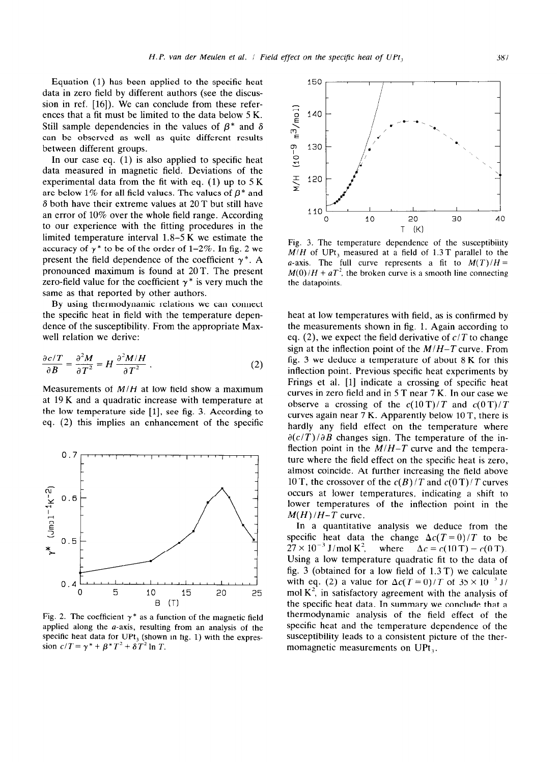Equation (1) has been applied to the specific heat data in zero field by different authors (see the discussion in ref. [16]). We can conclude from these references that a fit must be limited to the data below 5 K. Still sample dependencies in the values of  $\beta^*$  and  $\delta$ can be observed as well as quite different results between different groups.

In our case eq. (1) is also applied to specific heat data measured in magnetic field. Deviations of the experimental data from the fit with eq.  $(1)$  up to  $5K$ are below 1% for all field values. The values of  $\beta^*$  and  $\delta$  both have their extreme values at 20 T but still have an error of 10% over the whole field range. According to our experience with the fitting procedures in the limited temperature interval 1.8-5 K we estimate the accuracy of  $\gamma^*$  to be of the order of 1-2%. In fig. 2 we present the field dependence of the coefficient  $\gamma^*$ . A pronounced maximum is found at 20T. The present zero-field value for the coefficient  $\gamma^*$  is very much the same as that reported by other authors.

By using thermodynamic relations we can connect the specific heat in field with the temperature dependence of the susceptibility. From the appropriate Maxwell relation we derive:

$$
\frac{\partial c/T}{\partial B} = \frac{\partial^2 M}{\partial T^2} = H \frac{\partial^2 M/H}{\partial T^2} \,. \tag{2}
$$

Measurements of *M/H* at low field show a maximum at 19 K and a quadratic increase with temperature at the low temperature side  $[1]$ , see fig. 3. According to eq. (2) this implies an enhancement of the specific



Fig. 2. The coefficient  $\gamma^*$  as a function of the magnetic field applied along the a-axis, resulting from an analysis of the specific heat data for  $UPt_3$  (shown in fig. 1) with the expression  $c/T = \gamma^* + \beta^*T^2 + \delta T^2 \ln T$ .



Fig. 3. The temperature dependence of the susceptibility *M/H* of UPt, measured at a field of 1.3T parallel to the a-axis. The full curve represents a fit to  $M(T)/H =$  $M(0)/H + aT^2$ , the broken curve is a smooth line connecting the datapoints.

heat at low temperatures with field, as is confirmed by the measurements shown in fig. 1. Again according to eq. (2), we expect the field derivative of *c/T* to change sign at the inflection point of the *M/H-T* curve. From fig. 3 we deduce a temperature of about  $8K$  for this inflection point. Previous specific heat experiments by Frings et al. [l] indicate a crossing of specific heat curves in zero field and in 5 T near 7 K. In our case we observe a crossing of the  $c(10 \text{ T})/T$  and  $c(0 \text{ T})/T$ curves again near 7 K. Apparently below 10 T, there is hardly any field effect on the temperature where  $\partial(c/T)/\partial B$  changes sign. The temperature of the inflection point in the *M/H-T* curve and the temperature where the field effect on the specific heat is zero, almost coincide. At further increasing the field above 10 T, the crossover of the  $c(B)/T$  and  $c(0)$   $T$  curves occurs at lower temperatures, indicating a shift to lower temperatures of the inflection point in the  $M(H)/H-T$  curve.

In a quantitative analysis we deduce from the specific heat data the change  $\Delta c(T=0)/T$  to be  $27 \times 10^{-3}$  J/mol K<sup>2</sup>, where  $\Delta c = c(10 \text{ T}) - c(0 \text{ T}).$ Using a low temperature quadratic fit to the data of fig. 3 (obtained for a low field of 1.3 T) we calculate with eq. (2) a value for  $\Delta c(T=0)/T$  of  $35 \times 10^{-3}$  J/ mol  $K^2$ , in satisfactory agreement with the analysis of the specific heat data. In summary we conclude that a thermodynamic analysis of the field effect of the specific heat and the temperature dependence of the susceptibility leads to a consistent picture of the thermomagnetic measurements on UPt,.